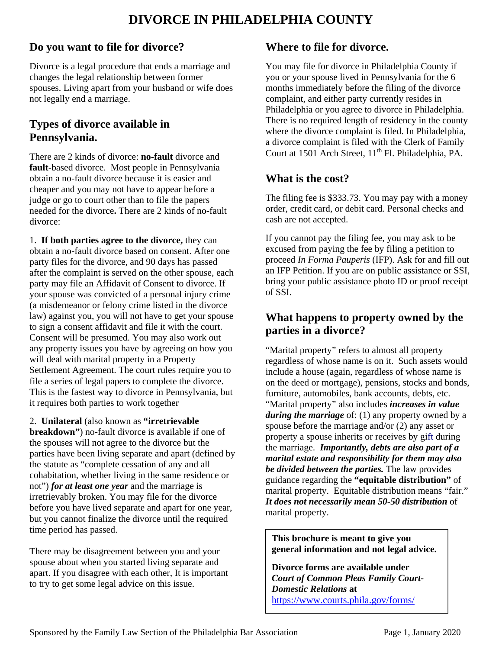# **DIVORCE IN PHILADELPHIA COUNTY**

### **Do you want to file for divorce?**

Divorce is a legal procedure that ends a marriage and changes the legal relationship between former spouses. Living apart from your husband or wife does not legally end a marriage.

## **Types of divorce available in Pennsylvania.**

There are 2 kinds of divorce: **no-fault** divorce and **fault**-based divorce. Most people in Pennsylvania obtain a no-fault divorce because it is easier and cheaper and you may not have to appear before a judge or go to court other than to file the papers needed for the divorce**.** There are 2 kinds of no-fault divorce:

1. **If both parties agree to the divorce,** they can obtain a no-fault divorce based on consent. After one party files for the divorce, and 90 days has passed after the complaint is served on the other spouse, each party may file an Affidavit of Consent to divorce. If your spouse was convicted of a personal injury crime (a misdemeanor or felony crime listed in the divorce law) against you, you will not have to get your spouse to sign a consent affidavit and file it with the court. Consent will be presumed. You may also work out any property issues you have by agreeing on how you will deal with marital property in a Property Settlement Agreement. The court rules require you to file a series of legal papers to complete the divorce. This is the fastest way to divorce in Pennsylvania, but it requires both parties to work together

2. **Unilateral** (also known as **"irretrievable breakdown"**) no-fault divorce is available if one of

the spouses will not agree to the divorce but the parties have been living separate and apart (defined by the statute as "complete cessation of any and all cohabitation, whether living in the same residence or not") *for at least one year* and the marriage is irretrievably broken. You may file for the divorce before you have lived separate and apart for one year, but you cannot finalize the divorce until the required time period has passed.

There may be disagreement between you and your spouse about when you started living separate and apart. If you disagree with each other, It is important to try to get some legal advice on this issue.

### **Where to file for divorce.**

You may file for divorce in Philadelphia County if you or your spouse lived in Pennsylvania for the 6 months immediately before the filing of the divorce complaint, and either party currently resides in Philadelphia or you agree to divorce in Philadelphia. There is no required length of residency in the county where the divorce complaint is filed. In Philadelphia, a divorce complaint is filed with the Clerk of Family Court at 1501 Arch Street,  $11<sup>th</sup>$  Fl. Philadelphia, PA.

## **What is the cost?**

The filing fee is \$333.73. You may pay with a money order, credit card, or debit card. Personal checks and cash are not accepted.

If you cannot pay the filing fee, you may ask to be excused from paying the fee by filing a petition to proceed *In Forma Pauperis* (IFP). Ask for and fill out an IFP Petition. If you are on public assistance or SSI, bring your public assistance photo ID or proof receipt of SSI.

## **What happens to property owned by the parties in a divorce?**

"Marital property" refers to almost all property regardless of whose name is on it. Such assets would include a house (again, regardless of whose name is on the deed or mortgage), pensions, stocks and bonds, furniture, automobiles, bank accounts, debts, etc. "Marital property" also includes *increases in value during the marriage* of: (1) any property owned by a spouse before the marriage and/or (2) any asset or property a spouse inherits or receives by gift during the marriage. *Importantly, debts are also part of a marital estate and responsibility for them may also be divided between the parties.* The law provides guidance regarding the **"equitable distribution"** of marital property. Equitable distribution means "fair." *It does not necessarily mean 50-50 distribution* of marital property.

#### **This brochure is meant to give you general information and not legal advice.**

**Divorce forms are available under**  *Court of Common Pleas Family Court-Domestic Relations* **at**  https://www.courts.phila.gov/forms/